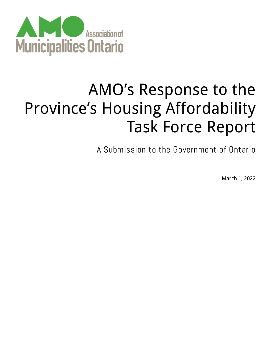

# AMO's Response to the Province's Housing Affordability Task Force Report

A Submission to the Government of Ontario

March 1, 2022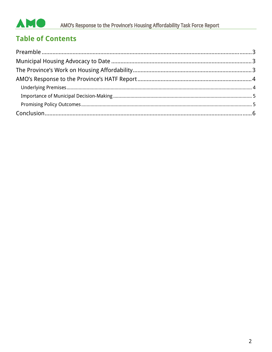#### AMO AMO's Response to the Province's Housing Affordability Task Force Report

# **Table of Contents**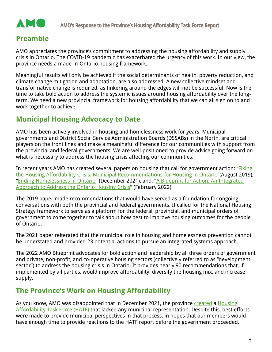

## <span id="page-2-0"></span>**Preamble**

AMO appreciates the province's commitment to addressing the housing affordability and supply crisis in Ontario. The COVID-19 pandemic has exacerbated the urgency of this work. In our view, the province needs a made-in-Ontario housing framework.

Meaningful results will only be achieved if the social determinants of health, poverty reduction, and climate change mitigation and adaptation, are also addressed. A new collective mindset and transformative change is required, as tinkering around the edges will not be successful. Now is the time to take bold action to address the systemic issues around housing affordability over the longterm. We need a new provincial framework for housing affordability that we can all sign on to and work together to achieve.

## <span id="page-2-1"></span>**Municipal Housing Advocacy to Date**

AMO has been actively involved in housing and homelessness work for years. Municipal governments and District Social Service Administration Boards (DSSABs) in the North, are critical players on the front lines and make a meaningful difference for our communities with support from the provincial and federal governments. We are well-positioned to provide advice going forward on what is necessary to address the housing crisis affecting our communities.

In recent years AMO has created several papers on housing that call for government action: ["Fixing](https://www.amo.on.ca/sites/default/files/assets/DOCUMENTS/Reports/2019/FixingHousingAffordabilityCrisis20190814.pdf)  [the Housing Affordability Crisis: Municipal Recommendations for Housing in Ontario"](https://www.amo.on.ca/sites/default/files/assets/DOCUMENTS/Reports/2019/FixingHousingAffordabilityCrisis20190814.pdf)(August 2019), ["Ending Homelessness in Ontario"](https://www.amo.on.ca/sites/default/files/assets/DOCUMENTS/Reports/2021/AMO) (December 2021), and, "A Blueprint for Action: An Integrated [Approach to Address the Ontario Housing Crisis"](https://www.amo.on.ca/sites/default/files/assets/DOCUMENTS/Policy-Updates/2022/AMO_HousingPolicyPaper_FINAL.pdf) (February 2022).

The 2019 paper made recommendations that would have served as a foundation for ongoing conversations with both the provincial and federal governments. It called for the National Housing Strategy framework to serve as a platform for the federal, provincial, and municipal orders of government to come together to talk about how best to improve housing outcomes for the people of Ontario.

The 2021 paper reiterated that the municipal role in housing and homelessness prevention cannot be understated and provided 23 potential actions to pursue an integrated systems approach.

The 2022 AMO Blueprint advocates for bold action and leadership by all three orders of government and private, non-profit, and co-operative housing sectors (collectively referred to as "development sector") to address the housing crisis in Ontario. It provides nearly 90 recommendations that, if implemented by all parties, would improve affordability, diversify the housing mix, and increase supply.

## <span id="page-2-2"></span>**The Province's Work on Housing Affordability**

As you know, AMO was disappointed that in December 2021, the province [created](https://news.ontario.ca/en/release/1001289/ontario-appoints-housing-affordability-task-force) a Housing [Affordability Task Force \(HATF\)](https://news.ontario.ca/en/backgrounder/1001286/ontario-names-chair-and-members-of-housing-affordability-task-force?utm_source=newsroom&utm_medium=email&utm_campaign=%2Fen%2Frelease%2F1001289%2Fontario-appoints-housing-affordability-task-force&utm_term=public) that lacked any municipal representation. Despite this, best efforts were made to provide municipal perspectives in that process, in hopes that our members would have enough time to provide reactions to the HATF report before the government proceeded.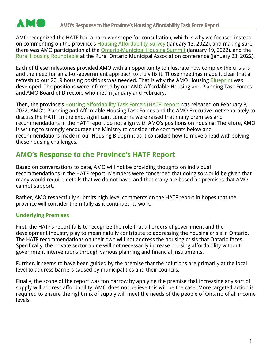

AMO recognized the HATF had a narrower scope for consultation, which is why we focused instead on commenting on the province's **Housing Affordability Survey (January 13, 2022)**, and making sure there was AMO participation at the [Ontario-Municipal Housing Summit](https://news.ontario.ca/en/release/1001442/ontario-municipal-summit-seeks-solutions-to-build-more-homes) (January 19, 2022), and the [Rural Housing Roundtable](https://news.ontario.ca/en/release/1001464/ontario-hosts-successful-rural-housing-roundtable) at the Rural Ontario Municipal Association conference (January 23, 2022).

Each of these milestones provided AMO with an opportunity to illustrate how complex the crisis is and the need for an all-of-government approach to truly fix it. Those meetings made it clear that a refresh to our 2019 housing positions was needed. That is why the AMO Housing **Blueprint** was developed. The positions were informed by our AMO Affordable Housing and Planning Task Forces and AMO Board of Directors who met in January and February.

Then, the province's **[Housing Affordability Task Force's \(HATF\) report](https://files.ontario.ca/mmah-housing-affordability-task-force-report-en-2022-02-07-v2.pdf)** was released on February 8, 2022. AMO's Planning and Affordable Housing Task Forces and the AMO Executive met separately to discuss the HATF. In the end, significant concerns were raised that many premises and recommendations in the HATF report do not align with AMO's positions on housing. Therefore, AMO is writing to strongly encourage the Ministry to consider the comments below and recommendations made in our Housing Blueprint as it considers how to move ahead with solving these housing challenges.

## <span id="page-3-0"></span>**AMO's Response to the Province's HATF Report**

Based on conversations to date, AMO will not be providing thoughts on individual recommendations in the HATF report. Members were concerned that doing so would be given that many would require details that we do not have, and that many are based on premises that AMO cannot support.

Rather, AMO respectfully submits high-level comments on the HATF report in hopes that the province will consider them fully as it continues its work.

#### <span id="page-3-1"></span>**Underlying Premises**

First, the HATF's report fails to recognize the role that all orders of government and the development industry play to meaningfully contribute to addressing the housing crisis in Ontario. The HATF recommendations on their own will not address the housing crisis that Ontario faces. Specifically, the private sector alone will not necessarily increase housing affordability without government interventions through various planning and financial instruments.

Further, it seems to have been guided by the premise that the solutions are primarily at the local level to address barriers caused by municipalities and their councils.

Finally, the scope of the report was too narrow by applying the premise that increasing any sort of supply will address affordability. AMO does not believe this will be the case. More targeted action is required to ensure the right mix of supply will meet the needs of the people of Ontario of all income levels.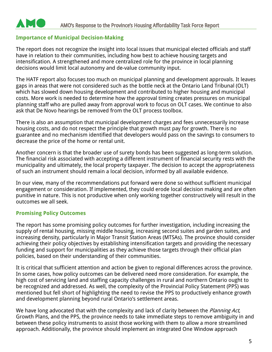#### <span id="page-4-0"></span>**Importance of Municipal Decision-Making**

**AME** 

The report does not recognize the insight into local issues that municipal elected officials and staff have in relation to their communities, including how best to achieve housing targets and intensification. A strengthened and more centralized role for the province in local planning decisions would limit local autonomy and de-value community input.

The HATF report also focuses too much on municipal planning and development approvals. It leaves gaps in areas that were not considered such as the bottle neck at the Ontario Land Tribunal (OLT) which has slowed down housing development and contributed to higher housing and municipal costs. More work is needed to determine how the approval timing creates pressures on municipal planning staff who are pulled away from approval work to focus on OLT cases. We continue to also ask that De Novo hearings be removed from the OLT process toolbox.

There is also an assumption that municipal development charges and fees unnecessarily increase housing costs, and do not respect the principle that growth must pay for growth. There is no guarantee and no mechanism identified that developers would pass on the savings to consumers to decrease the price of the home or rental unit.

Another concern is that the broader use of surety bonds has been suggested as long-term solution. The financial risk associated with accepting a different instrument of financial security rests with the municipality and ultimately, the local property taxpayer. The decision to accept the appropriateness of such an instrument should remain a local decision, informed by all available evidence.

In our view, many of the recommendations put forward were done so without sufficient municipal engagement or consideration. If implemented, they could erode local decision making and are often punitive in nature. This is not productive when only working together constructively will result in the outcomes we all seek.

#### <span id="page-4-1"></span>**Promising Policy Outcomes**

The report has some promising policy outcomes for further investigation, including increasing the supply of rental housing, missing middle housing, increasing second suites and garden suites, and increasing density, particularly in Major Transit Station Areas (MTSAs). The province should consider achieving their policy objectives by establishing intensification targets and providing the necessary funding and support for municipalities as they achieve those targets through their official plan policies, based on their understanding of their communities.

It is critical that sufficient attention and action be given to regional differences across the province. In some cases, how policy outcomes can be delivered need more consideration. For example, the high cost of servicing land and staffing capacity challenges in rural and northern Ontario ought to be recognized and addressed. As well, the complexity of the Provincial Policy Statement (PPS) was mentioned but fell short of highlighting the need to revise the PPS to productively enhance growth and development planning beyond rural Ontario's settlement areas.

We have long advocated that with the complexity and lack of clarity between the *Planning Act*, Growth Plans, and the PPS, the province needs to take immediate steps to remove ambiguity in and between these policy instruments to assist those working with them to allow a more streamlined approach. Additionally, the province should implement an integrated One Window approach